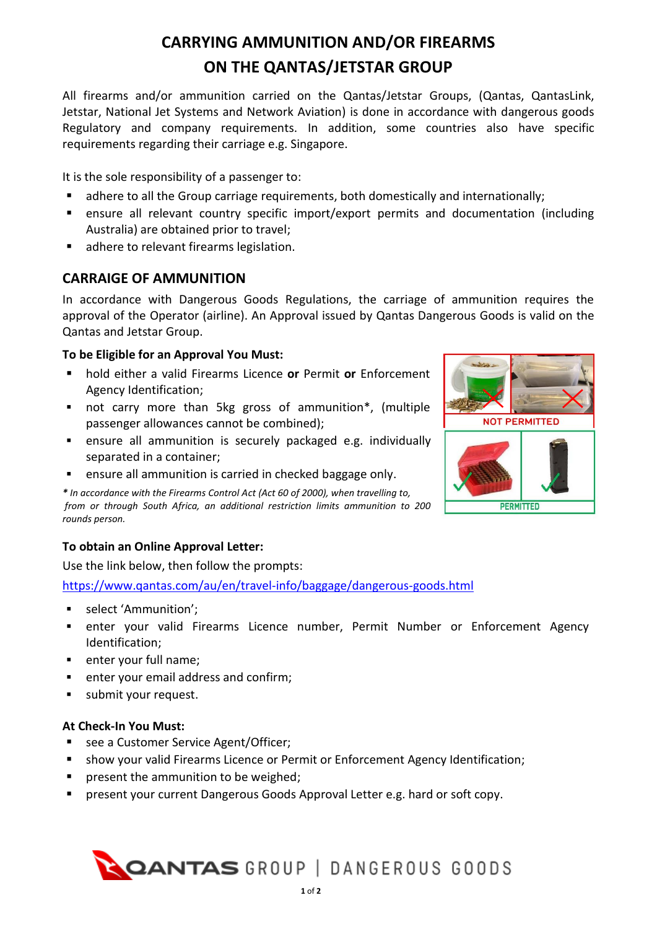# **CARRYING AMMUNITION AND/OR FIREARMS ON THE QANTAS/JETSTAR GROUP**

All firearms and/or ammunition carried on the Qantas/Jetstar Groups, (Qantas, QantasLink, Jetstar, National Jet Systems and Network Aviation) is done in accordance with dangerous goods Regulatory and company requirements. In addition, some countries also have specific requirements regarding their carriage e.g. Singapore.

It is the sole responsibility of a passenger to:

- adhere to all the Group carriage requirements, both domestically and internationally;
- ensure all relevant country specific import/export permits and documentation (including Australia) are obtained prior to travel;
- adhere to relevant firearms legislation.

# **CARRAIGE OF AMMUNITION**

In accordance with Dangerous Goods Regulations, the carriage of ammunition requires the approval of the Operator (airline). An Approval issued by Qantas Dangerous Goods is valid on the Qantas and Jetstar Group.

## **To be Eligible for an Approval You Must:**

- hold either a valid Firearms Licence or Permit or Enforcement Agency Identification;
- not carry more than 5kg gross of ammunition<sup>\*</sup>, (multiple passenger allowances cannot be combined);
- ensure all ammunition is securely packaged e.g. individually separated in a container;
- ensure all ammunition is carried in checked baggage only.

*\* In accordance with the Firearms Control Act (Act 60 of 2000), when travelling to, from or through South Africa, an additional restriction limits ammunition to 200 rounds person.*

## **To obtain an Online Approval Letter:**

Use the link below, then follow the prompts:

<https://www.qantas.com/au/en/travel-info/baggage/dangerous-goods.html>

- select 'Ammunition';
- **■** enter your valid Firearms Licence number, Permit Number or Enforcement Agency Identification;
- enter your full name;
- enter your email address and confirm;
- submit your request.

#### **At Check-In You Must:**

- see a Customer Service Agent/Officer;
- show your valid Firearms Licence or Permit or Enforcement Agency Identification;
- **•** present the ammunition to be weighed;
- present your current Dangerous Goods Approval Letter e.g. hard or soft copy.